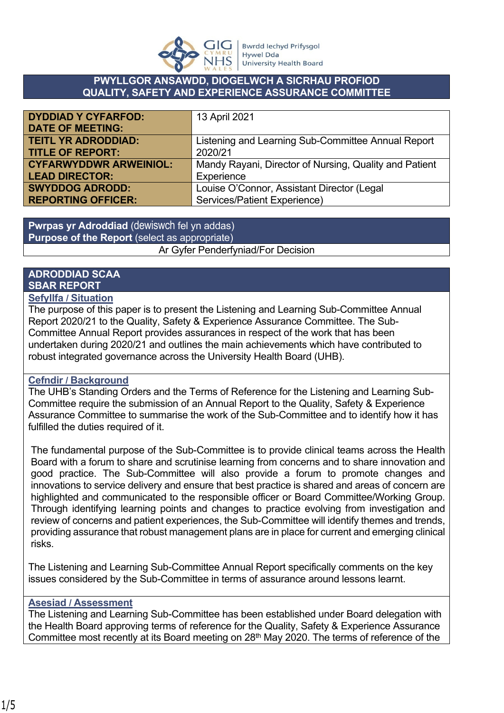

#### **PWYLLGOR ANSAWDD, DIOGELWCH A SICRHAU PROFIOD QUALITY, SAFETY AND EXPERIENCE ASSURANCE COMMITTEE**

| <b>DYDDIAD Y CYFARFOD:</b>    | 13 April 2021                                          |
|-------------------------------|--------------------------------------------------------|
| <b>DATE OF MEETING:</b>       |                                                        |
| <b>TEITL YR ADRODDIAD:</b>    | Listening and Learning Sub-Committee Annual Report     |
| <b>TITLE OF REPORT:</b>       | 2020/21                                                |
| <b>CYFARWYDDWR ARWEINIOL:</b> | Mandy Rayani, Director of Nursing, Quality and Patient |
| <b>LEAD DIRECTOR:</b>         | Experience                                             |
| <b>SWYDDOG ADRODD:</b>        | Louise O'Connor, Assistant Director (Legal             |
| <b>REPORTING OFFICER:</b>     | Services/Patient Experience)                           |

**Pwrpas yr Adroddiad** (dewiswch fel yn addas) **Purpose of the Report** (select as appropriate) Ar Gyfer Penderfyniad/For Decision

# **ADRODDIAD SCAA SBAR REPORT**

### **Sefyllfa / Situation**

The purpose of this paper is to present the Listening and Learning Sub-Committee Annual Report 2020/21 to the Quality, Safety & Experience Assurance Committee. The Sub-Committee Annual Report provides assurances in respect of the work that has been undertaken during 2020/21 and outlines the main achievements which have contributed to robust integrated governance across the University Health Board (UHB).

## **Cefndir / Background**

The UHB's Standing Orders and the Terms of Reference for the Listening and Learning Sub-Committee require the submission of an Annual Report to the Quality, Safety & Experience Assurance Committee to summarise the work of the Sub-Committee and to identify how it has fulfilled the duties required of it.

The fundamental purpose of the Sub-Committee is to provide clinical teams across the Health Board with a forum to share and scrutinise learning from concerns and to share innovation and good practice. The Sub-Committee will also provide a forum to promote changes and innovations to service delivery and ensure that best practice is shared and areas of concern are highlighted and communicated to the responsible officer or Board Committee/Working Group. Through identifying learning points and changes to practice evolving from investigation and review of concerns and patient experiences, the Sub-Committee will identify themes and trends, providing assurance that robust management plans are in place for current and emerging clinical risks.

The Listening and Learning Sub-Committee Annual Report specifically comments on the key issues considered by the Sub-Committee in terms of assurance around lessons learnt.

#### **Asesiad / Assessment**

The Listening and Learning Sub-Committee has been established under Board delegation with the Health Board approving terms of reference for the Quality, Safety & Experience Assurance Committee most recently at its Board meeting on 28th May 2020. The terms of reference of the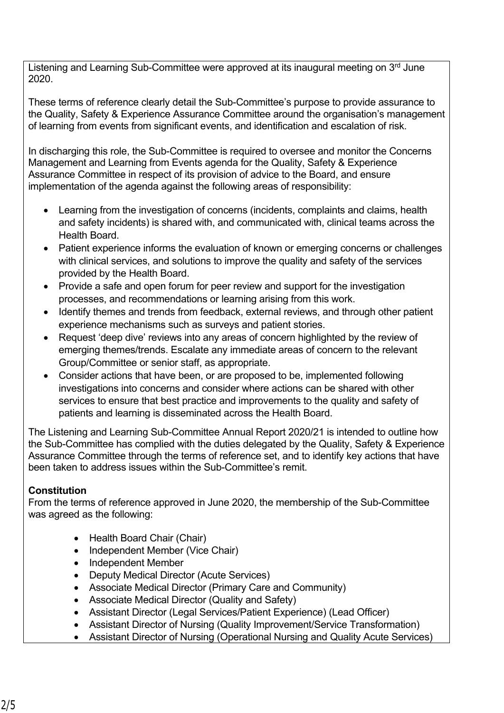Listening and Learning Sub-Committee were approved at its inaugural meeting on 3<sup>rd</sup> June 2020.

These terms of reference clearly detail the Sub-Committee's purpose to provide assurance to the Quality, Safety & Experience Assurance Committee around the organisation's management of learning from events from significant events, and identification and escalation of risk.

In discharging this role, the Sub-Committee is required to oversee and monitor the Concerns Management and Learning from Events agenda for the Quality, Safety & Experience Assurance Committee in respect of its provision of advice to the Board, and ensure implementation of the agenda against the following areas of responsibility:

- Learning from the investigation of concerns (incidents, complaints and claims, health and safety incidents) is shared with, and communicated with, clinical teams across the Health Board.
- Patient experience informs the evaluation of known or emerging concerns or challenges with clinical services, and solutions to improve the quality and safety of the services provided by the Health Board.
- Provide a safe and open forum for peer review and support for the investigation processes, and recommendations or learning arising from this work.
- Identify themes and trends from feedback, external reviews, and through other patient experience mechanisms such as surveys and patient stories.
- Request 'deep dive' reviews into any areas of concern highlighted by the review of emerging themes/trends. Escalate any immediate areas of concern to the relevant Group/Committee or senior staff, as appropriate.
- Consider actions that have been, or are proposed to be, implemented following investigations into concerns and consider where actions can be shared with other services to ensure that best practice and improvements to the quality and safety of patients and learning is disseminated across the Health Board.

The Listening and Learning Sub-Committee Annual Report 2020/21 is intended to outline how the Sub-Committee has complied with the duties delegated by the Quality, Safety & Experience Assurance Committee through the terms of reference set, and to identify key actions that have been taken to address issues within the Sub-Committee's remit.

# **Constitution**

From the terms of reference approved in June 2020, the membership of the Sub-Committee was agreed as the following:

- Health Board Chair (Chair)
- Independent Member (Vice Chair)
- Independent Member
- Deputy Medical Director (Acute Services)
- Associate Medical Director (Primary Care and Community)
- Associate Medical Director (Quality and Safety)
- Assistant Director (Legal Services/Patient Experience) (Lead Officer)
- Assistant Director of Nursing (Quality Improvement/Service Transformation)
- Assistant Director of Nursing (Operational Nursing and Quality Acute Services)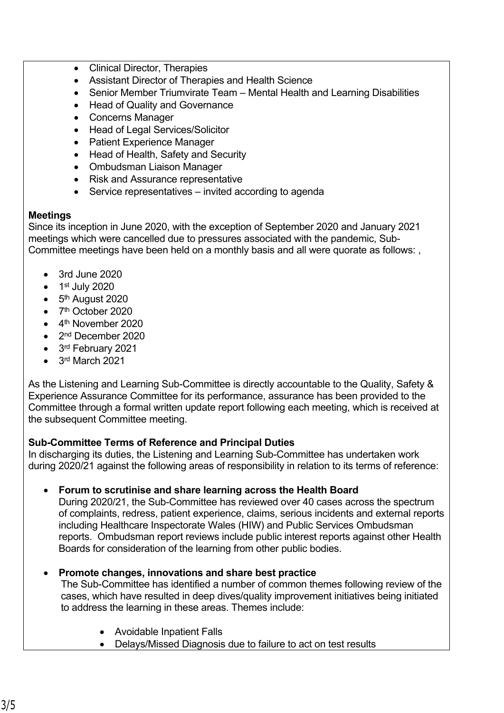- Clinical Director, Therapies
- Assistant Director of Therapies and Health Science
- Senior Member Triumvirate Team Mental Health and Learning Disabilities
- Head of Quality and Governance
- Concerns Manager
- Head of Legal Services/Solicitor
- Patient Experience Manager
- Head of Health, Safety and Security
- Ombudsman Liaison Manager
- Risk and Assurance representative
- Service representatives invited according to agenda

## **Meetings**

Since its inception in June 2020, with the exception of September 2020 and January 2021 meetings which were cancelled due to pressures associated with the pandemic, Sub-Committee meetings have been held on a monthly basis and all were quorate as follows: ,

- 3rd June 2020
- $\bullet$  1<sup>st</sup> July 2020
- $\bullet$  5<sup>th</sup> August 2020
- 7<sup>th</sup> October 2020
- 4<sup>th</sup> November 2020
- 2<sup>nd</sup> December 2020
- 3<sup>rd</sup> February 2021
- $\bullet$  3<sup>rd</sup> March 2021

As the Listening and Learning Sub-Committee is directly accountable to the Quality, Safety & Experience Assurance Committee for its performance, assurance has been provided to the Committee through a formal written update report following each meeting, which is received at the subsequent Committee meeting.

# **Sub-Committee Terms of Reference and Principal Duties**

In discharging its duties, the Listening and Learning Sub-Committee has undertaken work during 2020/21 against the following areas of responsibility in relation to its terms of reference:

## **Forum to scrutinise and share learning across the Health Board**

During 2020/21, the Sub-Committee has reviewed over 40 cases across the spectrum of complaints, redress, patient experience, claims, serious incidents and external reports including Healthcare Inspectorate Wales (HIW) and Public Services Ombudsman reports. Ombudsman report reviews include public interest reports against other Health Boards for consideration of the learning from other public bodies.

## **Promote changes, innovations and share best practice**

The Sub-Committee has identified a number of common themes following review of the cases, which have resulted in deep dives/quality improvement initiatives being initiated to address the learning in these areas. Themes include:

- Avoidable Inpatient Falls
- Delays/Missed Diagnosis due to failure to act on test results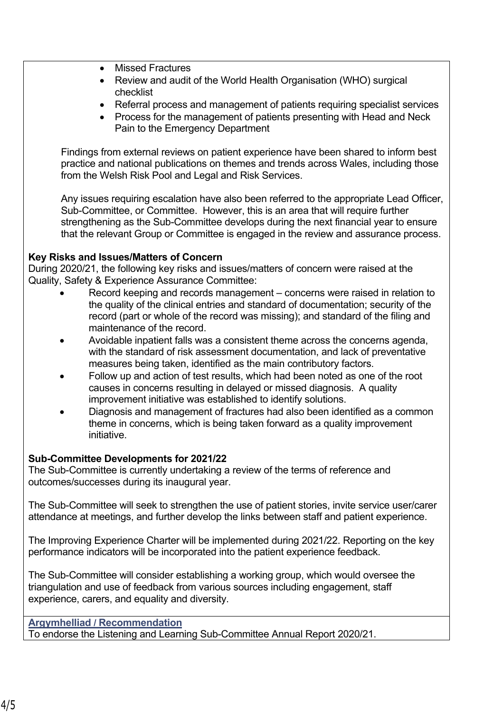- Missed Fractures
- Review and audit of the World Health Organisation (WHO) surgical checklist
- Referral process and management of patients requiring specialist services
- Process for the management of patients presenting with Head and Neck Pain to the Emergency Department

Findings from external reviews on patient experience have been shared to inform best practice and national publications on themes and trends across Wales, including those from the Welsh Risk Pool and Legal and Risk Services.

Any issues requiring escalation have also been referred to the appropriate Lead Officer, Sub-Committee, or Committee. However, this is an area that will require further strengthening as the Sub-Committee develops during the next financial year to ensure that the relevant Group or Committee is engaged in the review and assurance process.

### **Key Risks and Issues/Matters of Concern**

During 2020/21, the following key risks and issues/matters of concern were raised at the Quality, Safety & Experience Assurance Committee:

- Record keeping and records management concerns were raised in relation to the quality of the clinical entries and standard of documentation; security of the record (part or whole of the record was missing); and standard of the filing and maintenance of the record.
- Avoidable inpatient falls was a consistent theme across the concerns agenda, with the standard of risk assessment documentation, and lack of preventative measures being taken, identified as the main contributory factors.
- Follow up and action of test results, which had been noted as one of the root causes in concerns resulting in delayed or missed diagnosis. A quality improvement initiative was established to identify solutions.
- Diagnosis and management of fractures had also been identified as a common theme in concerns, which is being taken forward as a quality improvement initiative.

## **Sub-Committee Developments for 2021/22**

The Sub-Committee is currently undertaking a review of the terms of reference and outcomes/successes during its inaugural year.

The Sub-Committee will seek to strengthen the use of patient stories, invite service user/carer attendance at meetings, and further develop the links between staff and patient experience.

The Improving Experience Charter will be implemented during 2021/22. Reporting on the key performance indicators will be incorporated into the patient experience feedback.

The Sub-Committee will consider establishing a working group, which would oversee the triangulation and use of feedback from various sources including engagement, staff experience, carers, and equality and diversity.

### **Argymhelliad / Recommendation**

To endorse the Listening and Learning Sub-Committee Annual Report 2020/21.